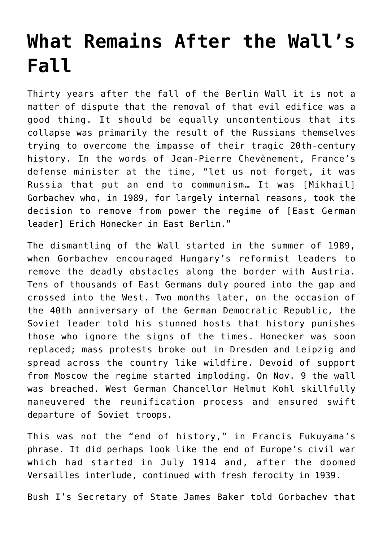## **[What Remains After the Wall's](https://intellectualtakeout.org/2019/11/what-remains-after-the-walls-fall/) [Fall](https://intellectualtakeout.org/2019/11/what-remains-after-the-walls-fall/)**

Thirty years after the fall of the Berlin Wall it is not a matter of dispute that the removal of that evil edifice was a good thing. It should be equally uncontentious that its collapse was primarily the result of the Russians themselves trying to overcome the impasse of their tragic 20th-century history. In the words of Jean-Pierre Chevènement, France's defense minister at the time, "let us not forget, it was Russia that put an end to communism… It was [Mikhail] Gorbachev who, in 1989, for largely internal reasons, took the decision to remove from power the regime of [East German leader] Erich Honecker in East Berlin."

The dismantling of the Wall started in the summer of 1989, when Gorbachev encouraged Hungary's reformist leaders to remove the deadly obstacles along the border with Austria. Tens of thousands of East Germans duly poured into the gap and crossed into the West. Two months later, on the occasion of the 40th anniversary of the German Democratic Republic, the Soviet leader told his stunned hosts that history punishes those who ignore the signs of the times. Honecker was soon replaced; mass protests broke out in Dresden and Leipzig and spread across the country like wildfire. Devoid of support from Moscow the regime started imploding. On Nov. 9 the wall was breached. West German Chancellor Helmut Kohl skillfully maneuvered the reunification process and ensured swift departure of Soviet troops.

This was not the "end of history," in Francis Fukuyama's phrase. It did perhaps look like the end of Europe's civil war which had started in July 1914 and, after the doomed Versailles interlude, continued with fresh ferocity in 1939.

Bush I's Secretary of State James Baker told Gorbachev that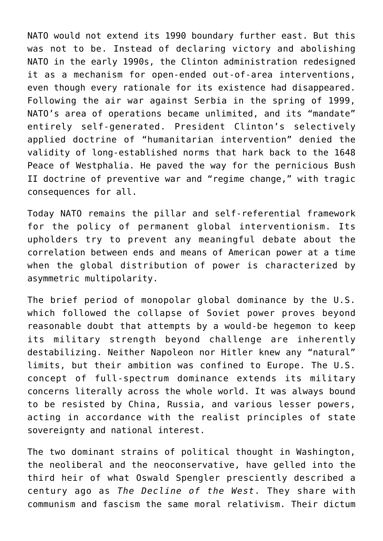NATO would not extend its 1990 boundary further east. But this was not to be. Instead of declaring victory and abolishing NATO in the early 1990s, the Clinton administration redesigned it as a mechanism for open-ended out-of-area interventions, even though every rationale for its existence had disappeared. Following the air war against Serbia in the spring of 1999, NATO's area of operations became unlimited, and its "mandate" entirely self-generated. President Clinton's selectively applied doctrine of "humanitarian intervention" denied the validity of long-established norms that hark back to the 1648 Peace of Westphalia. He paved the way for the pernicious Bush II doctrine of preventive war and "regime change," with tragic consequences for all.

Today NATO remains the pillar and self-referential framework for the policy of permanent global interventionism. Its upholders try to prevent any meaningful debate about the correlation between ends and means of American power at a time when the global distribution of power is characterized by asymmetric multipolarity.

The brief period of monopolar global dominance by the U.S. which followed the collapse of Soviet power proves beyond reasonable doubt that attempts by a would-be hegemon to keep its military strength beyond challenge are inherently destabilizing. Neither Napoleon nor Hitler knew any "natural" limits, but their ambition was confined to Europe. The U.S. concept of full-spectrum dominance extends its military concerns literally across the whole world. It was always bound to be resisted by China, Russia, and various lesser powers, acting in accordance with the realist principles of state sovereignty and national interest.

The two dominant strains of political thought in Washington, the neoliberal and the neoconservative, have gelled into the third heir of what Oswald Spengler presciently described a century ago as *The Decline of the West*. They share with communism and fascism the same moral relativism. Their dictum